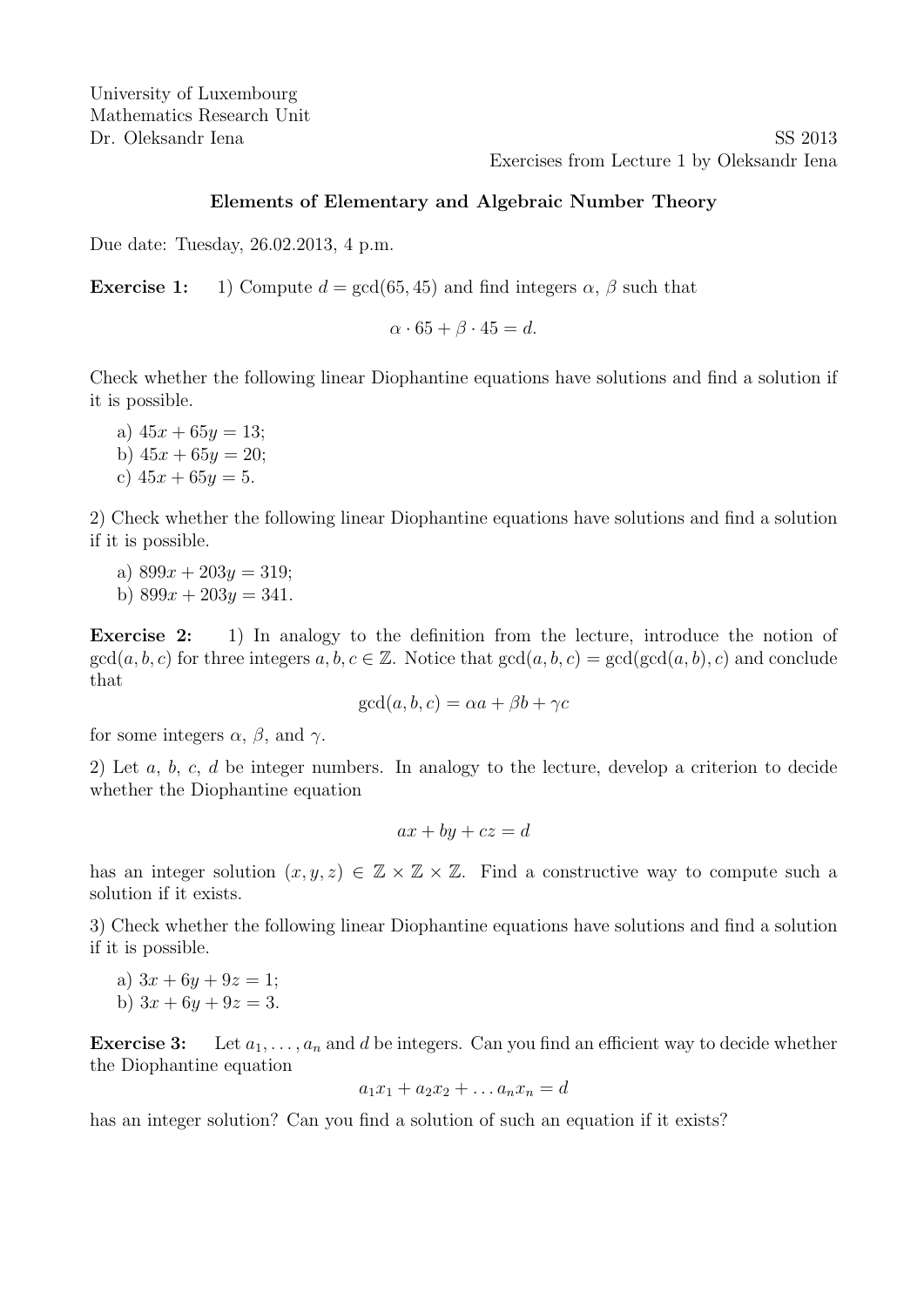Dr. Oleksandr Iena SS 2013 Exercises from Lecture 1 by Oleksandr Iena

#### Elements of Elementary and Algebraic Number Theory

Due date: Tuesday, 26.02.2013, 4 p.m.

**Exercise 1:** 1) Compute  $d = \gcd(65, 45)$  and find integers  $\alpha$ ,  $\beta$  such that

$$
\alpha \cdot 65 + \beta \cdot 45 = d.
$$

Check whether the following linear Diophantine equations have solutions and find a solution if it is possible.

a)  $45x + 65y = 13$ ; b)  $45x + 65y = 20$ ;

c) 
$$
45x + 65y = 5
$$
.

2) Check whether the following linear Diophantine equations have solutions and find a solution if it is possible.

- a)  $899x + 203y = 319$ ;
- b)  $899x + 203y = 341$ .

Exercise 2: 1) In analogy to the definition from the lecture, introduce the notion of  $gcd(a, b, c)$  for three integers  $a, b, c \in \mathbb{Z}$ . Notice that  $gcd(a, b, c) = gcd(gcd(a, b), c)$  and conclude that

$$
\gcd(a, b, c) = \alpha a + \beta b + \gamma c
$$

for some integers  $\alpha$ ,  $\beta$ , and  $\gamma$ .

2) Let  $a, b, c, d$  be integer numbers. In analogy to the lecture, develop a criterion to decide whether the Diophantine equation

$$
ax + by + cz = d
$$

has an integer solution  $(x, y, z) \in \mathbb{Z} \times \mathbb{Z} \times \mathbb{Z}$ . Find a constructive way to compute such a solution if it exists.

3) Check whether the following linear Diophantine equations have solutions and find a solution if it is possible.

- a)  $3x + 6y + 9z = 1$ ;
- b)  $3x + 6y + 9z = 3$ .

**Exercise 3:** Let  $a_1, \ldots, a_n$  and d be integers. Can you find an efficient way to decide whether the Diophantine equation

$$
a_1x_1 + a_2x_2 + \dots a_nx_n = d
$$

has an integer solution? Can you find a solution of such an equation if it exists?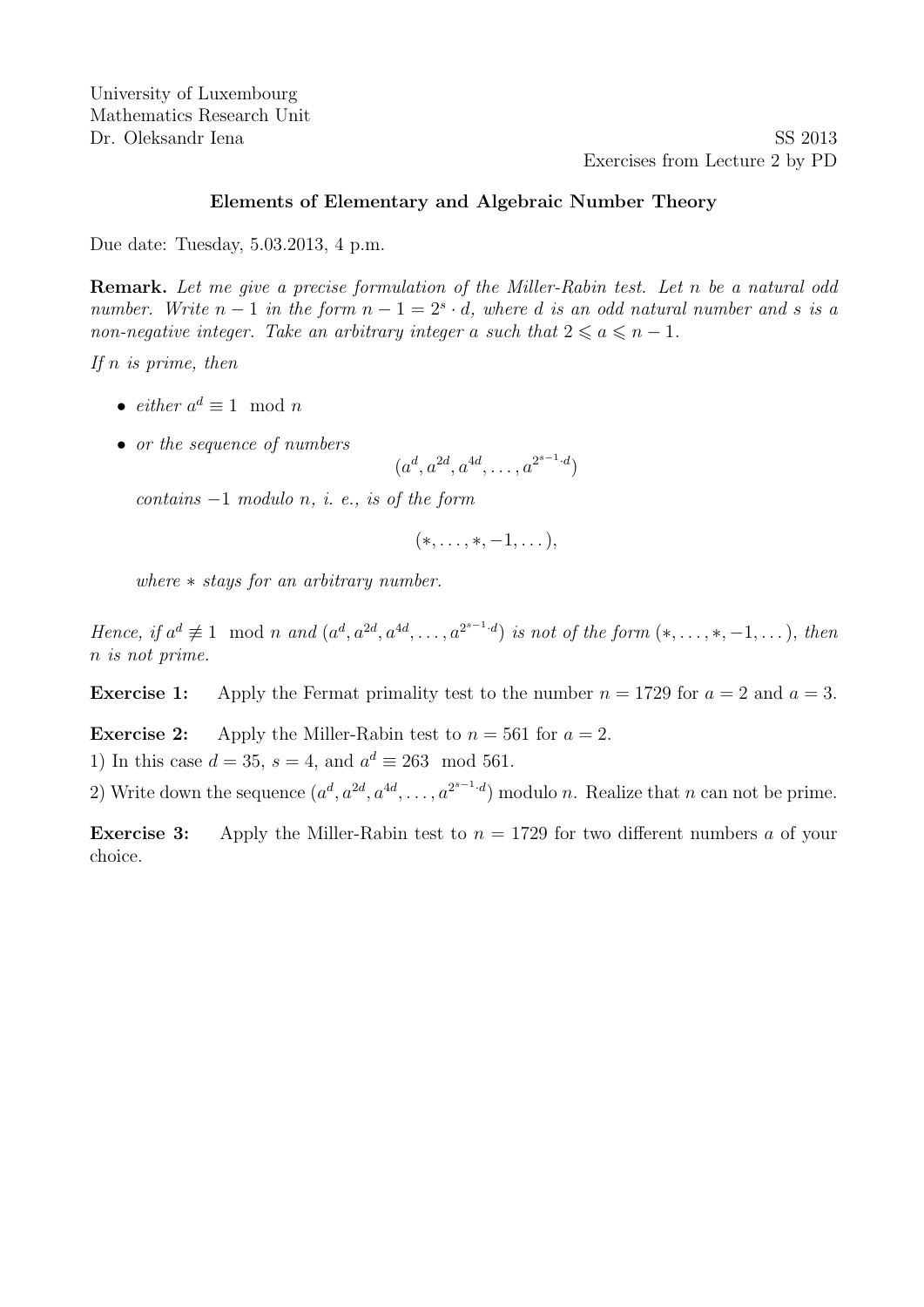Dr. Oleksandr Iena SS 2013 Exercises from Lecture 2 by PD

#### Elements of Elementary and Algebraic Number Theory

Due date: Tuesday, 5.03.2013, 4 p.m.

Remark. Let me give a precise formulation of the Miller-Rabin test. Let n be a natural odd number. Write  $n-1$  in the form  $n-1=2<sup>s</sup> \cdot d$ , where d is an odd natural number and s is a non-negative integer. Take an arbitrary integer a such that  $2 \le a \le n - 1$ .

If  $n$  is prime, then

- *either*  $a^d \equiv 1 \mod n$
- or the sequence of numbers

 $(a^d, a^{2d}, a^{4d}, \ldots, a^{2^{s-1} \cdot d})$ 

contains  $-1$  modulo n, i. e., is of the form

$$
(*,\ldots,*,-1,\ldots),
$$

where ∗ stays for an arbitrary number.

Hence, if  $a^d \not\equiv 1 \mod n$  and  $(a^d, a^{2d}, a^{4d}, \ldots, a^{2^{s-1} \cdot d})$  is not of the form  $(*, \ldots, *, -1, \ldots)$ , then n is not prime.

**Exercise 1:** Apply the Fermat primality test to the number  $n = 1729$  for  $a = 2$  and  $a = 3$ .

**Exercise 2:** Apply the Miller-Rabin test to  $n = 561$  for  $a = 2$ .

1) In this case  $d = 35$ ,  $s = 4$ , and  $a^d \equiv 263 \mod{561}$ .

2) Write down the sequence  $(a^d, a^{2d}, a^{4d}, \ldots, a^{2^{s-1} \cdot d})$  modulo n. Realize that n can not be prime.

**Exercise 3:** Apply the Miller-Rabin test to  $n = 1729$  for two different numbers a of your choice.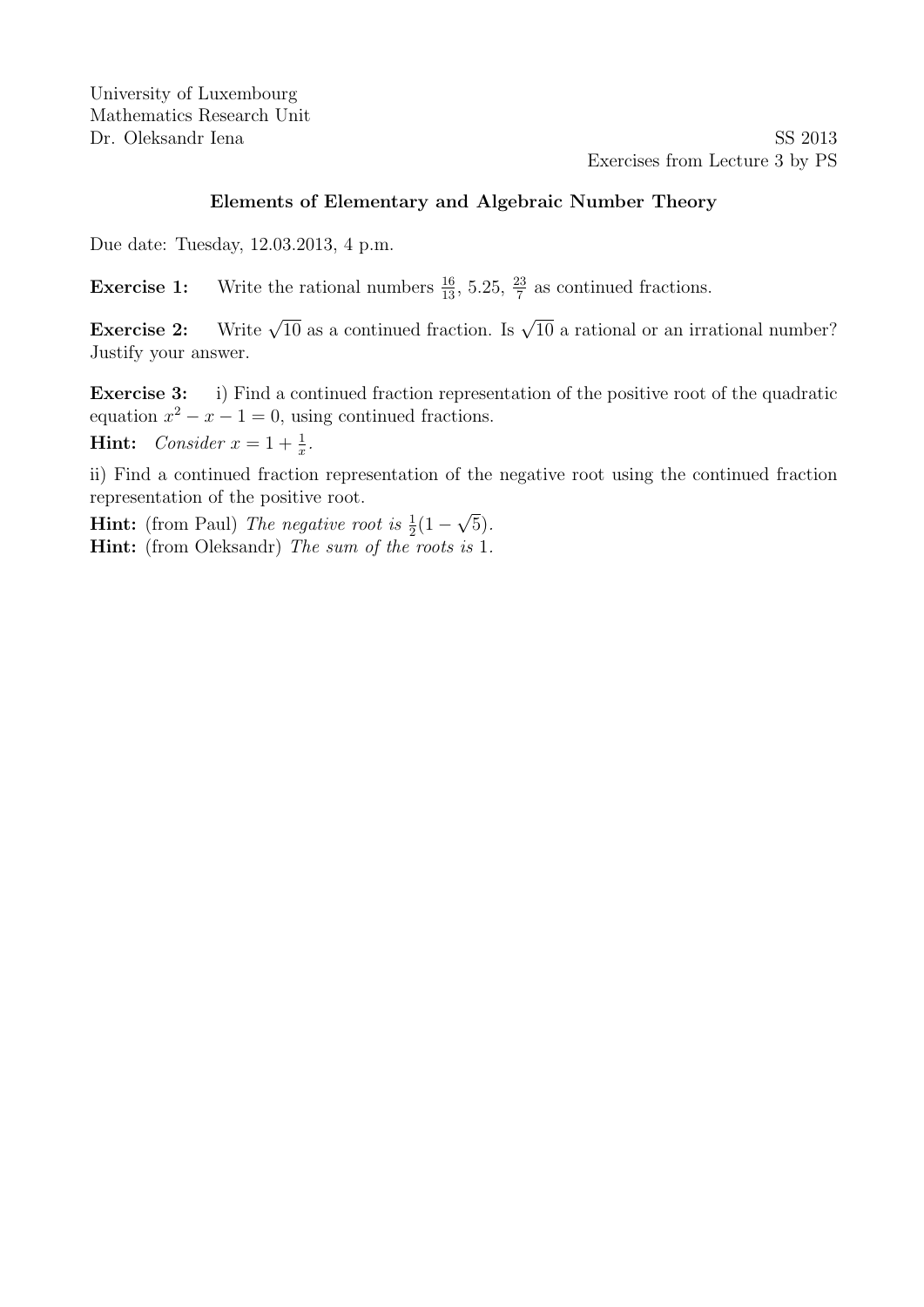Dr. Oleksandr Iena SS 2013 Exercises from Lecture 3 by PS

### Elements of Elementary and Algebraic Number Theory

Due date: Tuesday, 12.03.2013, 4 p.m.

**Exercise 1:** Write the rational numbers  $\frac{16}{13}$ , 5.25,  $\frac{23}{7}$  as continued fractions.

**Exercise 2:** Write  $\sqrt{10}$  as a continued fraction. Is  $\sqrt{10}$  a rational or an irrational number? Justify your answer.

Exercise 3: i) Find a continued fraction representation of the positive root of the quadratic equation  $x^2 - x - 1 = 0$ , using continued fractions.

**Hint:** Consider  $x = 1 + \frac{1}{x}$ .

ii) Find a continued fraction representation of the negative root using the continued fraction representation of the positive root. √

**Hint:** (from Paul) The negative root is  $\frac{1}{2}(1 -$ 5). Hint: (from Oleksandr) The sum of the roots is 1.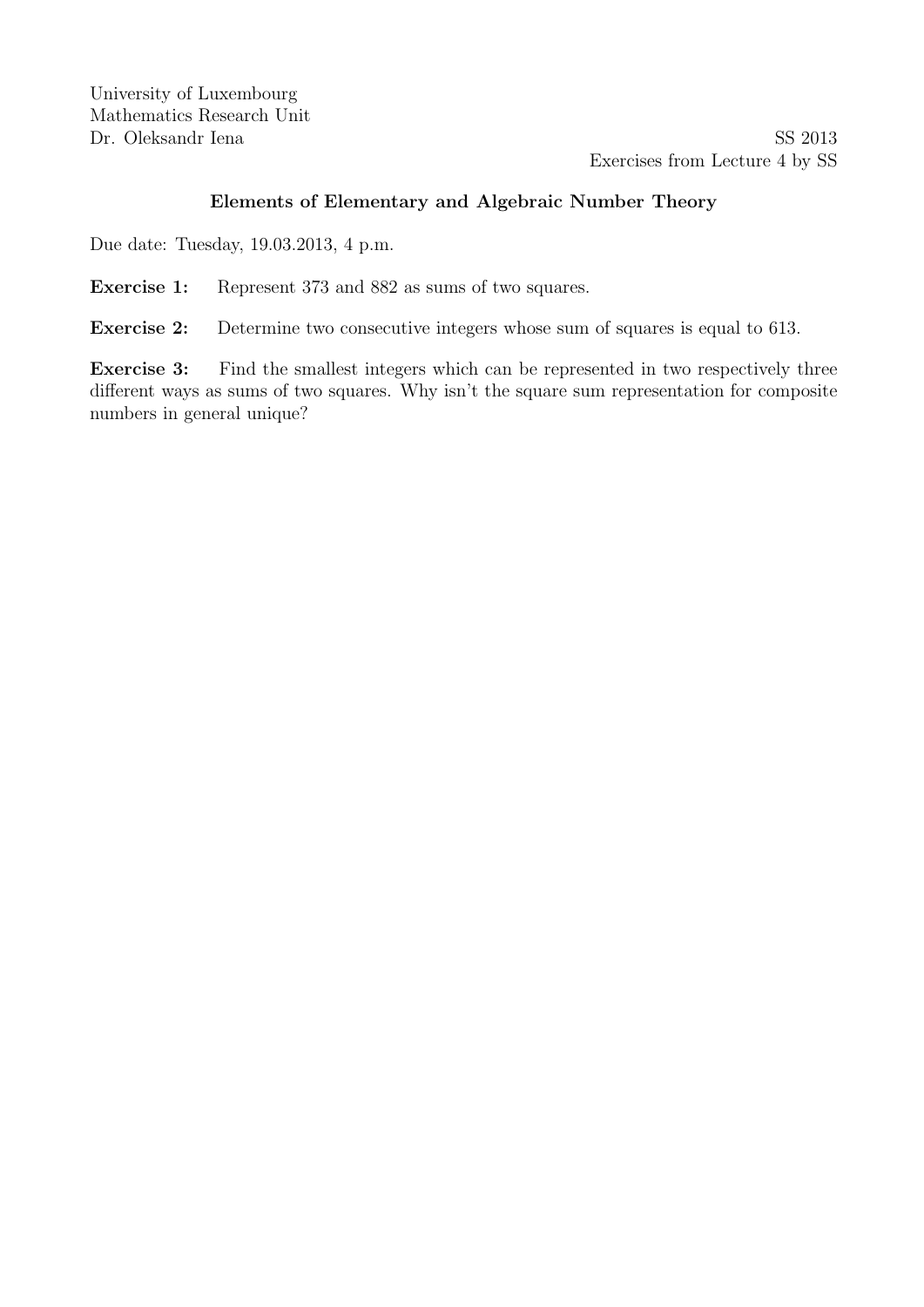Dr. Oleksandr Iena SS 2013 Exercises from Lecture 4 by SS

# Elements of Elementary and Algebraic Number Theory

Due date: Tuesday, 19.03.2013, 4 p.m.

Exercise 1: Represent 373 and 882 as sums of two squares.

Exercise 2: Determine two consecutive integers whose sum of squares is equal to 613.

Exercise 3: Find the smallest integers which can be represented in two respectively three different ways as sums of two squares. Why isn't the square sum representation for composite numbers in general unique?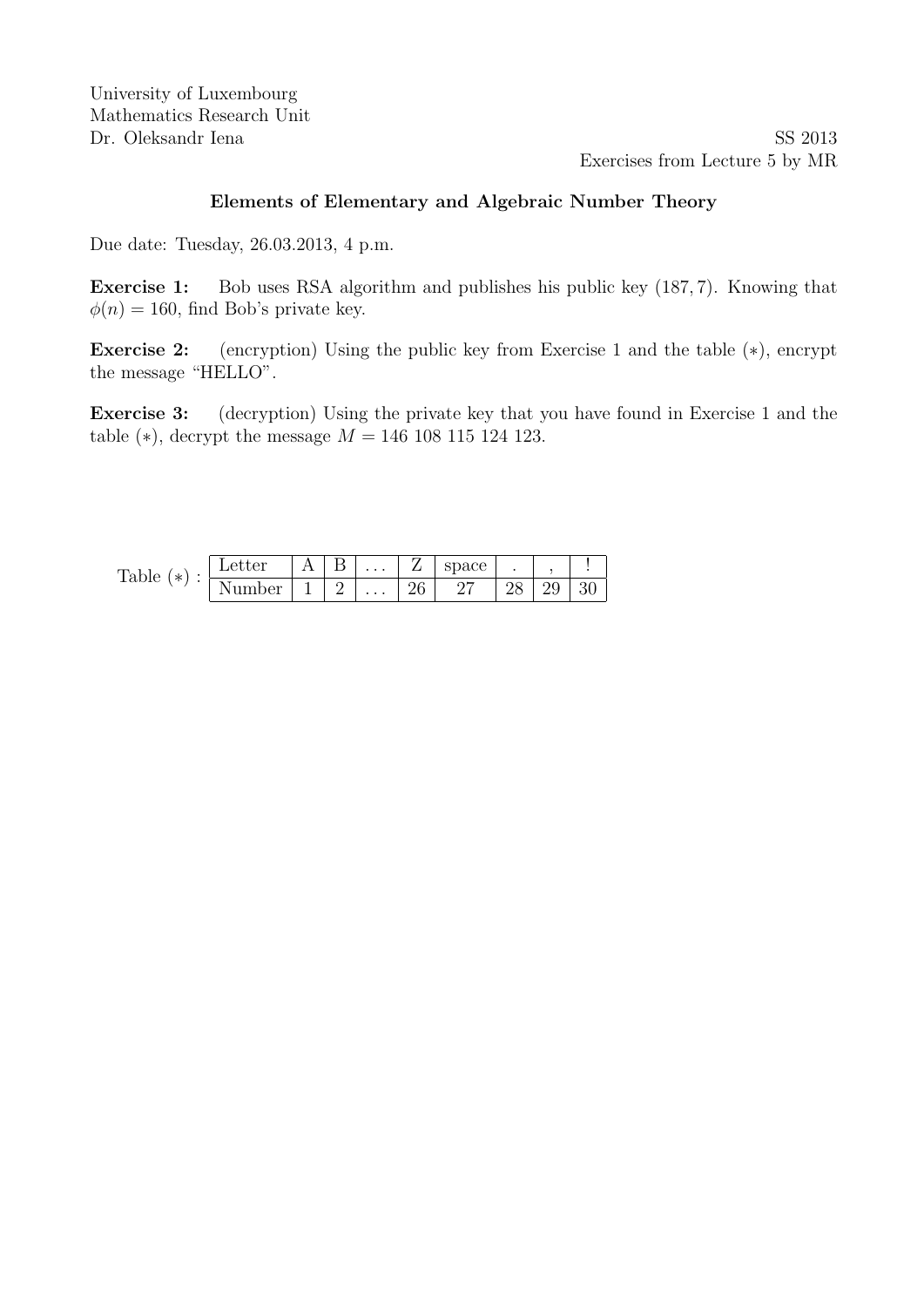Dr. Oleksandr Iena SS 2013 Exercises from Lecture 5 by MR

### Elements of Elementary and Algebraic Number Theory

Due date: Tuesday, 26.03.2013, 4 p.m.

Exercise 1: Bob uses RSA algorithm and publishes his public key (187, 7). Knowing that  $\phi(n) = 160$ , find Bob's private key.

Exercise 2: (encryption) Using the public key from Exercise 1 and the table (∗), encrypt the message "HELLO".

Exercise 3: (decryption) Using the private key that you have found in Exercise 1 and the table ( $*$ ), decrypt the message  $M = 146 108 115 124 123$ .

| m<br>$\ast$<br>rable | Letter    | ৴ | $\cdots$ | —  | space | ٠  |         |             |
|----------------------|-----------|---|----------|----|-------|----|---------|-------------|
|                      | ∼∩ר<br>◡⊥ | ↵ | $\cdots$ | 26 | ົ     | ∠∪ | U<br>∠ಎ | ົ<br>ບ<br>◡ |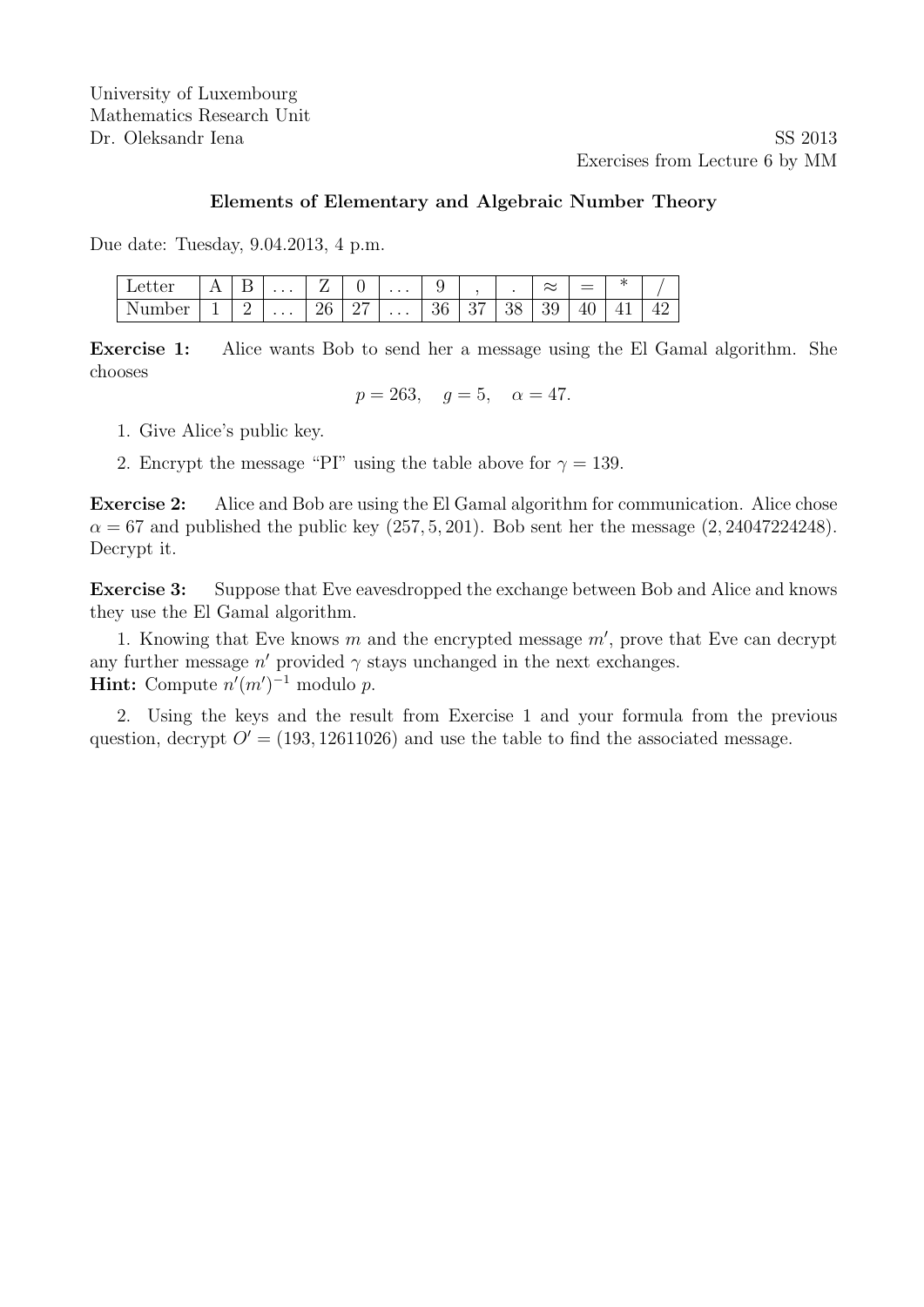Dr. Oleksandr Iena SS 2013 Exercises from Lecture 6 by MM

#### Elements of Elementary and Algebraic Number Theory

Due date: Tuesday, 9.04.2013, 4 p.m.

| ter                   | - | . . | $\cdots$ | . .<br>_     | ັ       | $\cdots$ | ັ         |          |          | $\sim$<br>$\sim$ | _<br>$\overline{\phantom{0}}$<br>$\overline{\phantom{a}}$ | N.<br>∽  |  |
|-----------------------|---|-----|----------|--------------|---------|----------|-----------|----------|----------|------------------|-----------------------------------------------------------|----------|--|
| ∩or<br><b>ULLLOVI</b> | - |     | $\cdots$ | ገድ<br>∸<br>◡ | ∩⊨<br>- | $\cdots$ | n e<br>◡◡ | ∩⊨<br>U, | ററ<br>∪∪ | ◡                | 4.<br>⊥∪                                                  | <u>.</u> |  |

Exercise 1: Alice wants Bob to send her a message using the El Gamal algorithm. She chooses

$$
p = 263
$$
,  $g = 5$ ,  $\alpha = 47$ .

- 1. Give Alice's public key.
- 2. Encrypt the message "PI" using the table above for  $\gamma = 139$ .

Exercise 2: Alice and Bob are using the El Gamal algorithm for communication. Alice chose  $\alpha = 67$  and published the public key  $(257, 5, 201)$ . Bob sent her the message  $(2, 24047224248)$ . Decrypt it.

Exercise 3: Suppose that Eve eavesdropped the exchange between Bob and Alice and knows they use the El Gamal algorithm.

1. Knowing that Eve knows  $m$  and the encrypted message  $m'$ , prove that Eve can decrypt any further message  $n'$  provided  $\gamma$  stays unchanged in the next exchanges. **Hint:** Compute  $n'(m')^{-1}$  modulo p.

2. Using the keys and the result from Exercise 1 and your formula from the previous question, decrypt  $O' = (193, 12611026)$  and use the table to find the associated message.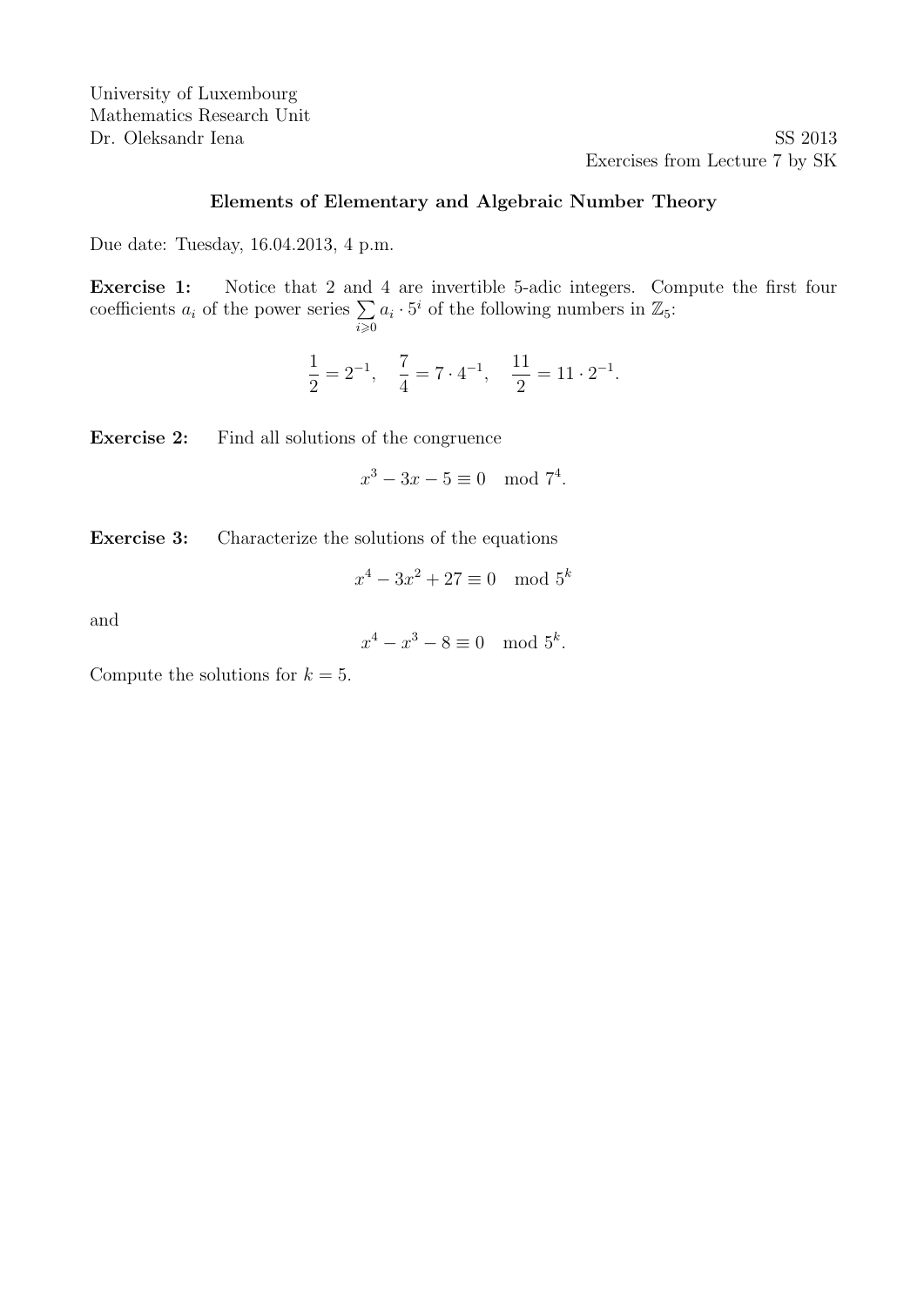Dr. Oleksandr Iena SS 2013 Exercises from Lecture 7 by SK

# Elements of Elementary and Algebraic Number Theory

Due date: Tuesday, 16.04.2013, 4 p.m.

Exercise 1: Notice that 2 and 4 are invertible 5-adic integers. Compute the first four coefficients  $a_i$  of the power series  $\sum$  $\sum_{i\geqslant 0}$  $a_i \cdot 5^i$  of the following numbers in  $\mathbb{Z}_5$ :

$$
\frac{1}{2} = 2^{-1}, \quad \frac{7}{4} = 7 \cdot 4^{-1}, \quad \frac{11}{2} = 11 \cdot 2^{-1}.
$$

Exercise 2: Find all solutions of the congruence

 $x^3 - 3x - 5 \equiv 0 \mod 7^4$ .

Exercise 3: Characterize the solutions of the equations

$$
x^4 - 3x^2 + 27 \equiv 0 \mod 5^k
$$

and

$$
x^4 - x^3 - 8 \equiv 0 \mod 5^k.
$$

Compute the solutions for  $k = 5$ .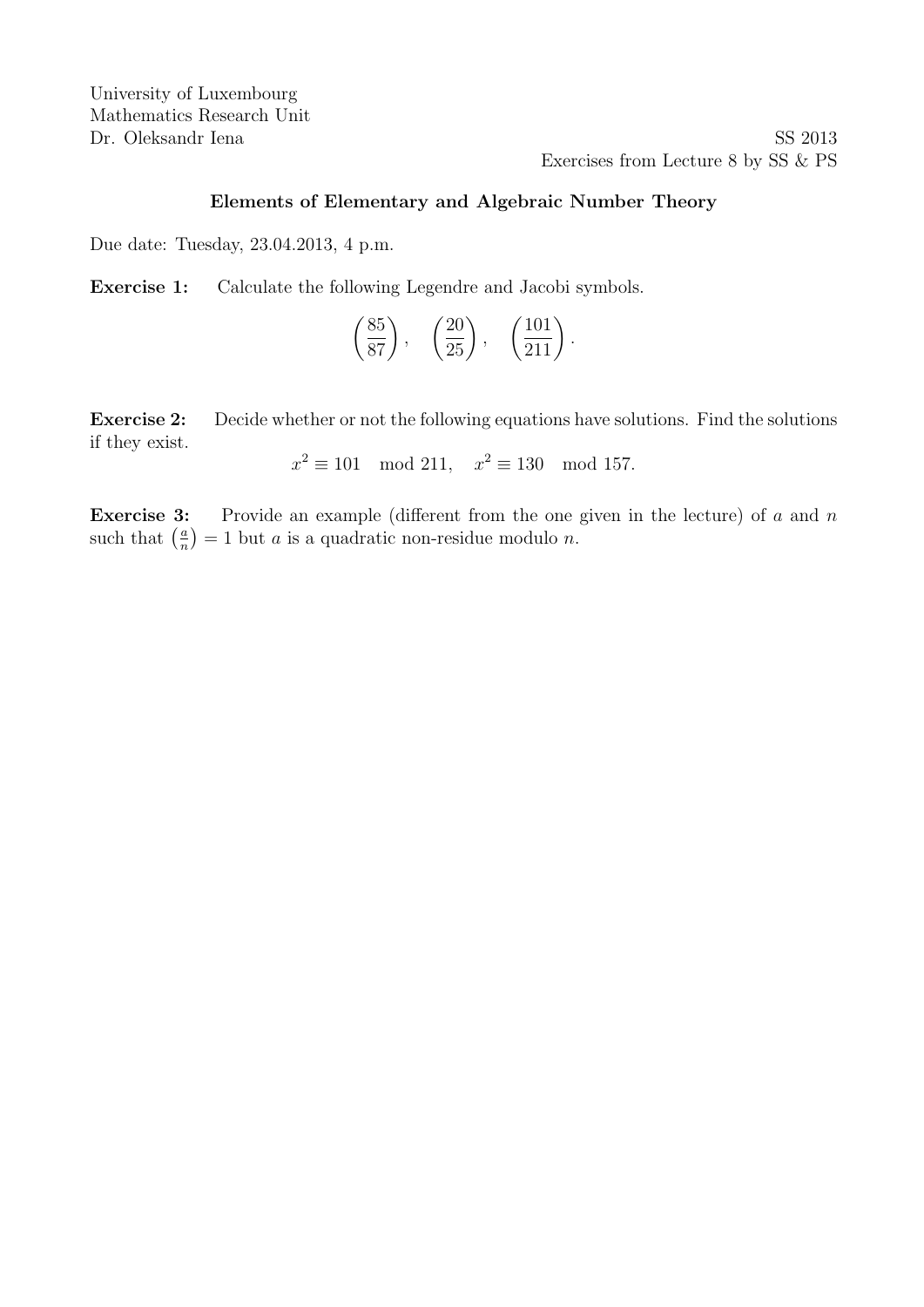Dr. Oleksandr Iena SS 2013 Exercises from Lecture 8 by SS & PS

## Elements of Elementary and Algebraic Number Theory

Due date: Tuesday, 23.04.2013, 4 p.m.

Exercise 1: Calculate the following Legendre and Jacobi symbols.

$$
\left(\frac{85}{87}\right), \quad \left(\frac{20}{25}\right), \quad \left(\frac{101}{211}\right).
$$

Exercise 2: Decide whether or not the following equations have solutions. Find the solutions if they exist.

$$
x^2 \equiv 101 \mod 211
$$
,  $x^2 \equiv 130 \mod 157$ .

**Exercise 3:** Provide an example (different from the one given in the lecture) of  $a$  and  $n$ such that  $\left(\frac{a}{n}\right)$  $\left(\frac{a}{n}\right) = 1$  but *a* is a quadratic non-residue modulo *n*.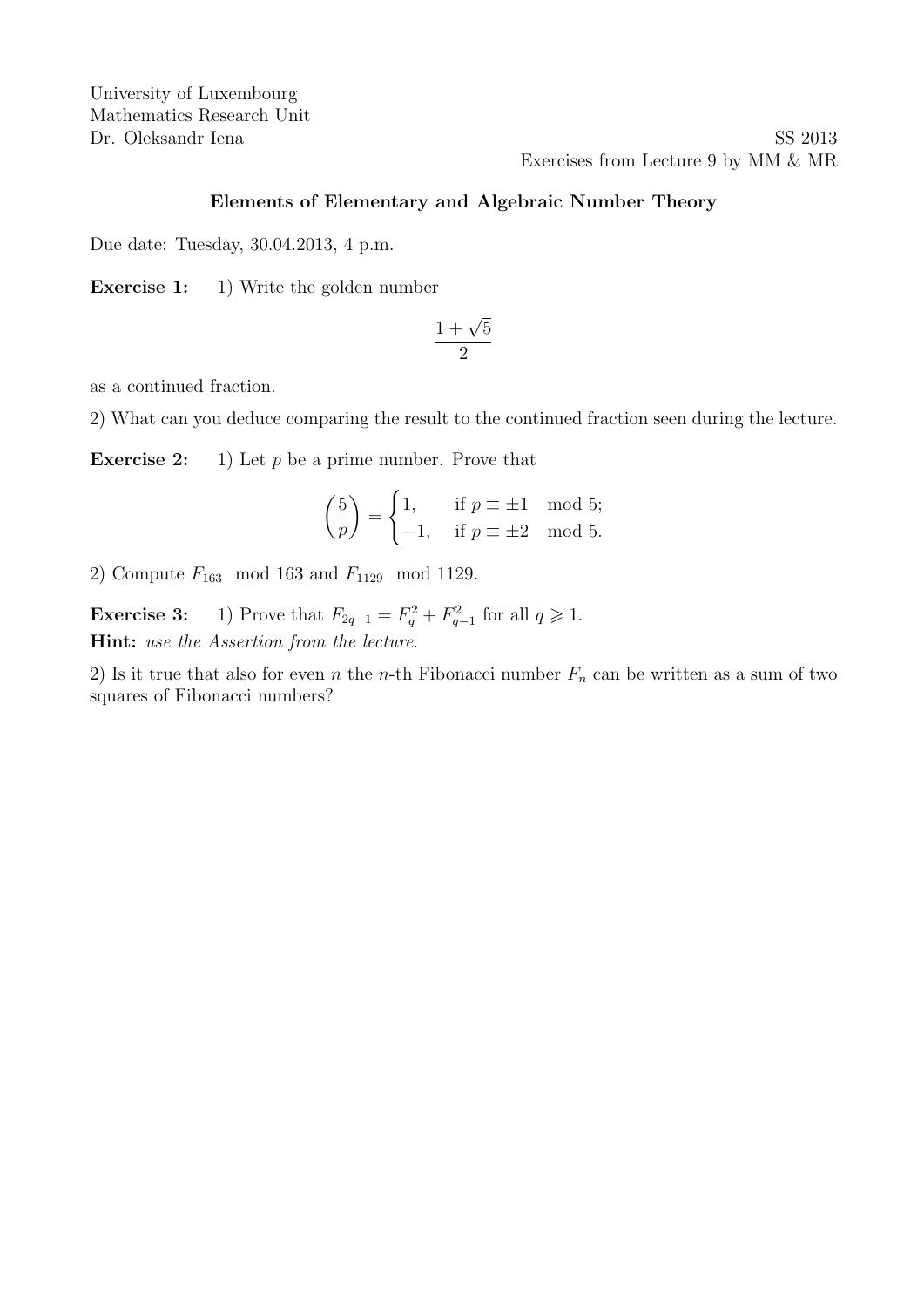Dr. Oleksandr Iena SS 2013 Exercises from Lecture 9 by MM & MR

#### Elements of Elementary and Algebraic Number Theory

Due date: Tuesday, 30.04.2013, 4 p.m.

Exercise 1: 1) Write the golden number

$$
\frac{1+\sqrt{5}}{2}
$$

as a continued fraction.

2) What can you deduce comparing the result to the continued fraction seen during the lecture.

**Exercise 2:** 1) Let p be a prime number. Prove that

$$
\left(\frac{5}{p}\right) = \begin{cases} 1, & \text{if } p \equiv \pm 1 \mod 5; \\ -1, & \text{if } p \equiv \pm 2 \mod 5. \end{cases}
$$

2) Compute  $F_{163}$  mod 163 and  $F_{1129}$  mod 1129.

**Exercise 3:** 1) Prove that  $F_{2q-1} = F_q^2 + F_{q-1}^2$  for all  $q \ge 1$ . Hint: use the Assertion from the lecture.

2) Is it true that also for even n the n-th Fibonacci number  $F_n$  can be written as a sum of two squares of Fibonacci numbers?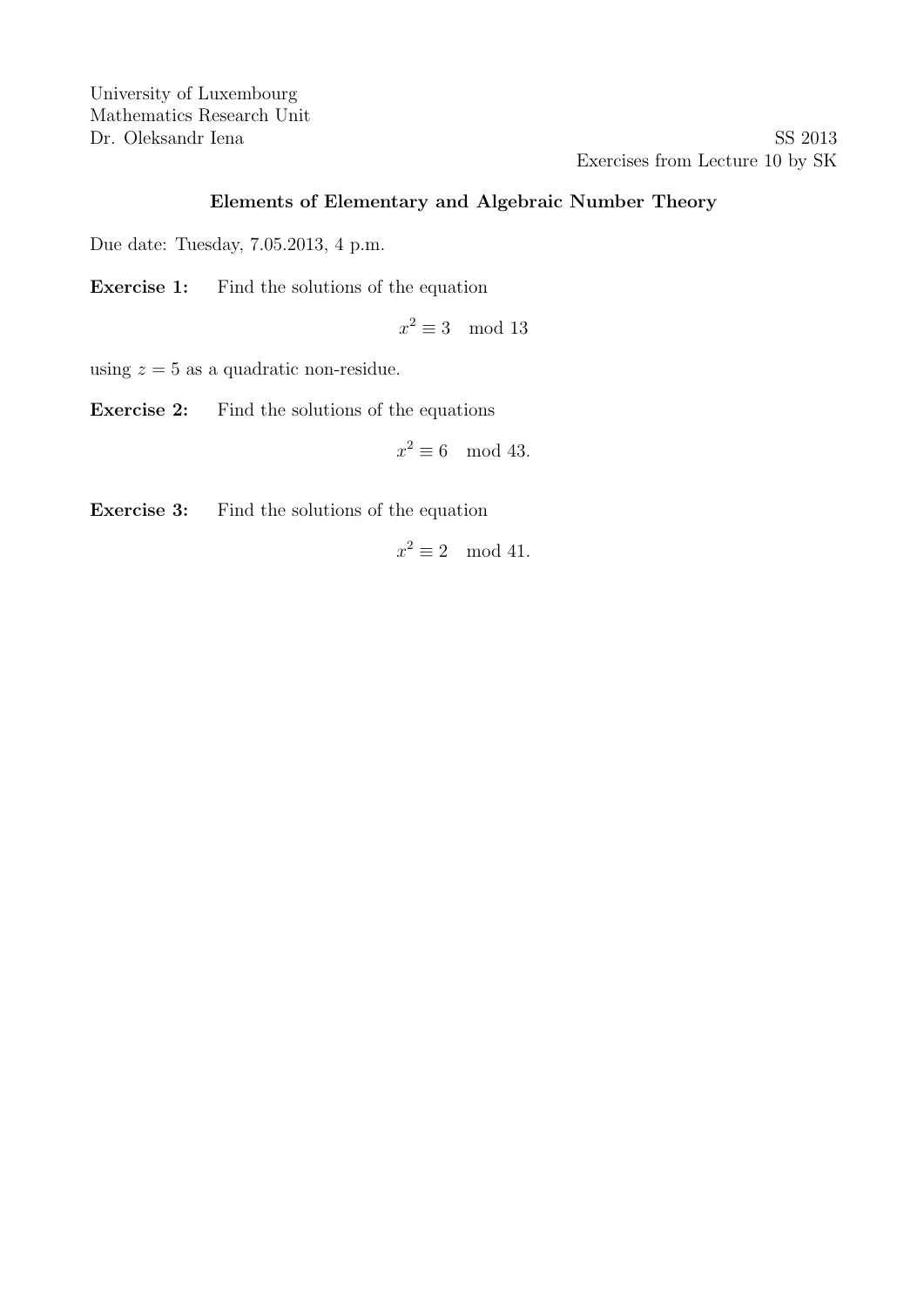Dr. Oleksandr Iena SS 2013 Exercises from Lecture 10 by SK

### Elements of Elementary and Algebraic Number Theory

Due date: Tuesday, 7.05.2013, 4 p.m.

Exercise 1: Find the solutions of the equation

 $x^2 \equiv 3 \mod 13$ 

using  $z = 5$  as a quadratic non-residue.

Exercise 2: Find the solutions of the equations

$$
x^2 \equiv 6 \mod 43.
$$

Exercise 3: Find the solutions of the equation

 $x^2 \equiv 2 \mod 41$ .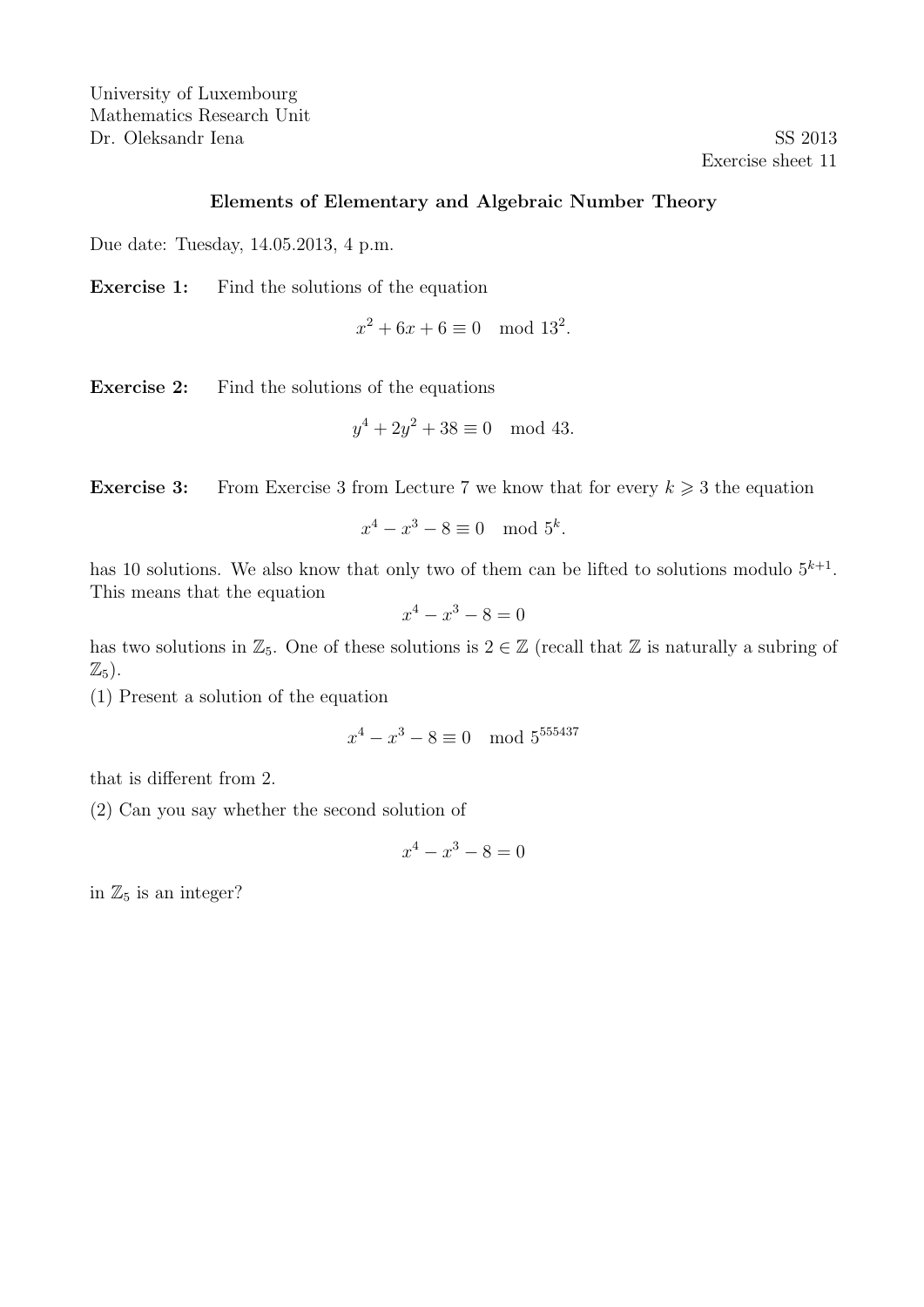University of Luxembourg Mathematics Research Unit Dr. Oleksandr Iena SS 2013

Exercise sheet 11

#### Elements of Elementary and Algebraic Number Theory

Due date: Tuesday, 14.05.2013, 4 p.m.

Exercise 1: Find the solutions of the equation

 $x^2 + 6x + 6 \equiv 0 \mod 13^2$ .

Exercise 2: Find the solutions of the equations

$$
y^4 + 2y^2 + 38 \equiv 0 \mod 43.
$$

**Exercise 3:** From Exercise 3 from Lecture 7 we know that for every  $k \geq 3$  the equation

$$
x^4 - x^3 - 8 \equiv 0 \mod 5^k.
$$

has 10 solutions. We also know that only two of them can be lifted to solutions modulo  $5^{k+1}$ . This means that the equation

$$
x^4 - x^3 - 8 = 0
$$

has two solutions in  $\mathbb{Z}_5$ . One of these solutions is  $2 \in \mathbb{Z}$  (recall that  $\mathbb Z$  is naturally a subring of  $\mathbb{Z}_5$ ).

(1) Present a solution of the equation

$$
x^4 - x^3 - 8 \equiv 0 \mod 5^{555437}
$$

that is different from 2.

(2) Can you say whether the second solution of

$$
x^4 - x^3 - 8 = 0
$$

in  $\mathbb{Z}_5$  is an integer?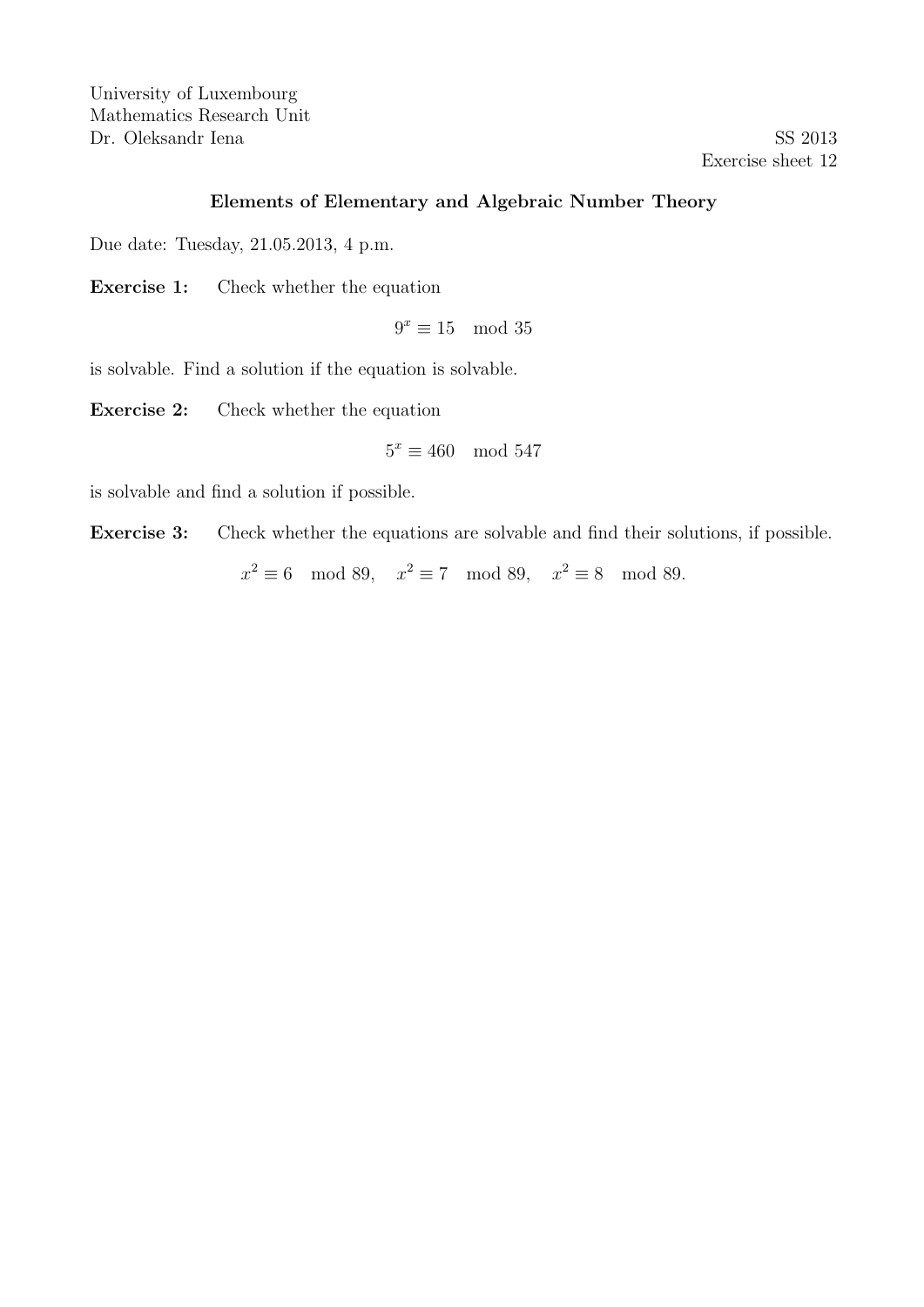University of Luxembourg Mathematics Research Unit Dr. Oleksandr Iena SS 2013

Exercise sheet 12

## Elements of Elementary and Algebraic Number Theory

Due date: Tuesday, 21.05.2013, 4 p.m.

Exercise 1: Check whether the equation

$$
9^x \equiv 15 \mod 35
$$

is solvable. Find a solution if the equation is solvable.

Exercise 2: Check whether the equation

$$
5^x \equiv 460 \mod 547
$$

is solvable and find a solution if possible.

Exercise 3: Check whether the equations are solvable and find their solutions, if possible.

 $x^2 \equiv 6 \mod 89$ ,  $x^2 \equiv 7 \mod 89$ ,  $x^2 \equiv 8 \mod 89$ .